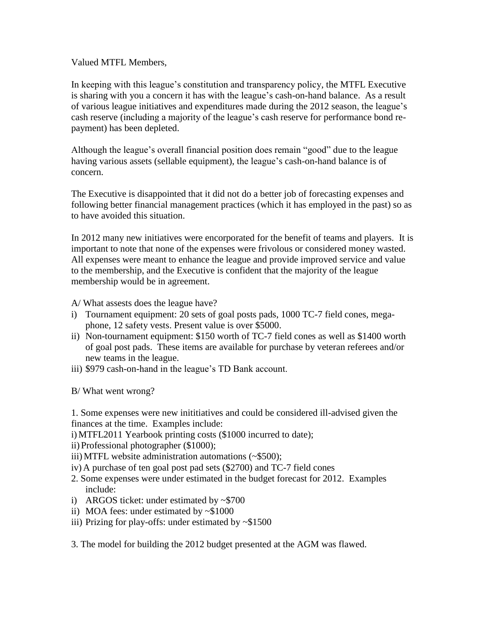Valued MTFL Members,

In keeping with this league's constitution and transparency policy, the MTFL Executive is sharing with you a concern it has with the league's cash-on-hand balance. As a result of various league initiatives and expenditures made during the 2012 season, the league's cash reserve (including a majority of the league's cash reserve for performance bond repayment) has been depleted.

Although the league's overall financial position does remain "good" due to the league having various assets (sellable equipment), the league's cash-on-hand balance is of concern.

The Executive is disappointed that it did not do a better job of forecasting expenses and following better financial management practices (which it has employed in the past) so as to have avoided this situation.

In 2012 many new initiatives were encorporated for the benefit of teams and players. It is important to note that none of the expenses were frivolous or considered money wasted. All expenses were meant to enhance the league and provide improved service and value to the membership, and the Executive is confident that the majority of the league membership would be in agreement.

- A/ What assests does the league have?
- i) Tournament equipment: 20 sets of goal posts pads, 1000 TC-7 field cones, megaphone, 12 safety vests. Present value is over \$5000.
- ii) Non-tournament equipment: \$150 worth of TC-7 field cones as well as \$1400 worth of goal post pads. These items are available for purchase by veteran referees and/or new teams in the league.
- iii) \$979 cash-on-hand in the league's TD Bank account.

B/ What went wrong?

1. Some expenses were new inititiatives and could be considered ill-advised given the finances at the time. Examples include:

i)MTFL2011 Yearbook printing costs (\$1000 incurred to date);

- ii) Professional photographer (\$1000);
- iii)MTFL website administration automations (~\$500);
- iv) A purchase of ten goal post pad sets (\$2700) and TC-7 field cones
- 2. Some expenses were under estimated in the budget forecast for 2012. Examples include:
- i) ARGOS ticket: under estimated by ~\$700
- ii) MOA fees: under estimated by ~\$1000
- iii) Prizing for play-offs: under estimated by  $\sim$ \$1500

3. The model for building the 2012 budget presented at the AGM was flawed.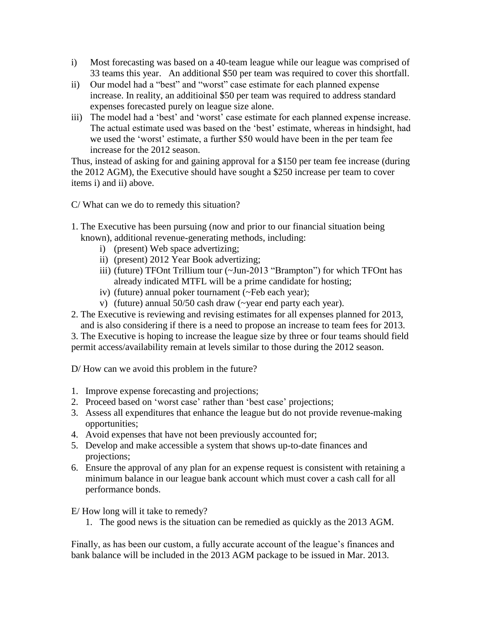- i) Most forecasting was based on a 40-team league while our league was comprised of 33 teams this year. An additional \$50 per team was required to cover this shortfall.
- ii) Our model had a "best" and "worst" case estimate for each planned expense increase. In reality, an additioinal \$50 per team was required to address standard expenses forecasted purely on league size alone.
- iii) The model had a 'best' and 'worst' case estimate for each planned expense increase. The actual estimate used was based on the 'best' estimate, whereas in hindsight, had we used the 'worst' estimate, a further \$50 would have been in the per team fee increase for the 2012 season.

Thus, instead of asking for and gaining approval for a \$150 per team fee increase (during the 2012 AGM), the Executive should have sought a \$250 increase per team to cover items i) and ii) above.

C/ What can we do to remedy this situation?

- 1. The Executive has been pursuing (now and prior to our financial situation being known), additional revenue-generating methods, including:
	- i) (present) Web space advertizing;
	- ii) (present) 2012 Year Book advertizing;
	- iii) (future) TFOnt Trillium tour (~Jun-2013 "Brampton") for which TFOnt has already indicated MTFL will be a prime candidate for hosting;
	- iv) (future) annual poker tournament (~Feb each year);
	- v) (future) annual 50/50 cash draw (~year end party each year).
- 2. The Executive is reviewing and revising estimates for all expenses planned for 2013, and is also considering if there is a need to propose an increase to team fees for 2013.

3. The Executive is hoping to increase the league size by three or four teams should field permit access/availability remain at levels similar to those during the 2012 season.

D/ How can we avoid this problem in the future?

- 1. Improve expense forecasting and projections;
- 2. Proceed based on 'worst case' rather than 'best case' projections;
- 3. Assess all expenditures that enhance the league but do not provide revenue-making opportunities;
- 4. Avoid expenses that have not been previously accounted for;
- 5. Develop and make accessible a system that shows up-to-date finances and projections;
- 6. Ensure the approval of any plan for an expense request is consistent with retaining a minimum balance in our league bank account which must cover a cash call for all performance bonds.

E/ How long will it take to remedy?

1. The good news is the situation can be remedied as quickly as the 2013 AGM.

Finally, as has been our custom, a fully accurate account of the league's finances and bank balance will be included in the 2013 AGM package to be issued in Mar. 2013.